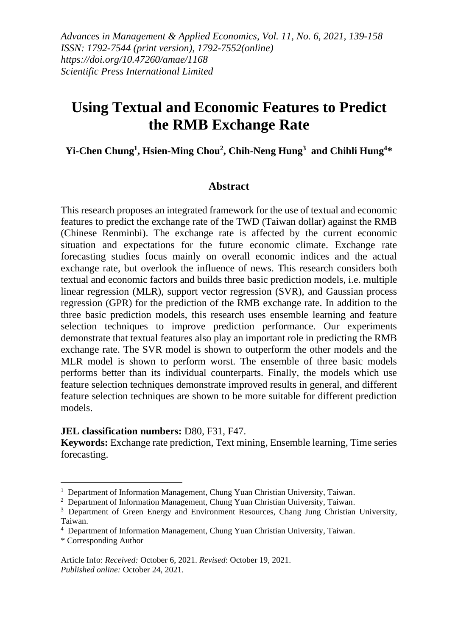*Advances in Management & Applied Economics, Vol. 11, No. 6, 2021, 139-158 ISSN: 1792-7544 (print version), 1792-7552(online) https://doi.org/10.47260/amae/1168 Scientific Press International Limited*

# **Using Textual and Economic Features to Predict the RMB Exchange Rate**

#### **Yi-Chen Chung<sup>1</sup> , Hsien-Ming Chou<sup>2</sup> , Chih-Neng Hung<sup>3</sup> and Chihli Hung<sup>4</sup> \***

#### **Abstract**

This research proposes an integrated framework for the use of textual and economic features to predict the exchange rate of the TWD (Taiwan dollar) against the RMB (Chinese Renminbi). The exchange rate is affected by the current economic situation and expectations for the future economic climate. Exchange rate forecasting studies focus mainly on overall economic indices and the actual exchange rate, but overlook the influence of news. This research considers both textual and economic factors and builds three basic prediction models, i.e. multiple linear regression (MLR), support vector regression (SVR), and Gaussian process regression (GPR) for the prediction of the RMB exchange rate. In addition to the three basic prediction models, this research uses ensemble learning and feature selection techniques to improve prediction performance. Our experiments demonstrate that textual features also play an important role in predicting the RMB exchange rate. The SVR model is shown to outperform the other models and the MLR model is shown to perform worst. The ensemble of three basic models performs better than its individual counterparts. Finally, the models which use feature selection techniques demonstrate improved results in general, and different feature selection techniques are shown to be more suitable for different prediction models.

#### **JEL classification numbers:** D80, F31, F47.

**Keywords:** Exchange rate prediction, Text mining, Ensemble learning, Time series forecasting.

<sup>&</sup>lt;sup>1</sup> Department of Information Management, Chung Yuan Christian University, Taiwan.

<sup>&</sup>lt;sup>2</sup> Department of Information Management, Chung Yuan Christian University, Taiwan.

 $3$  Department of Green Energy and Environment Resources, Chang Jung Christian University, Taiwan.

<sup>4</sup> Department of Information Management, Chung Yuan Christian University, Taiwan.

<sup>\*</sup> Corresponding Author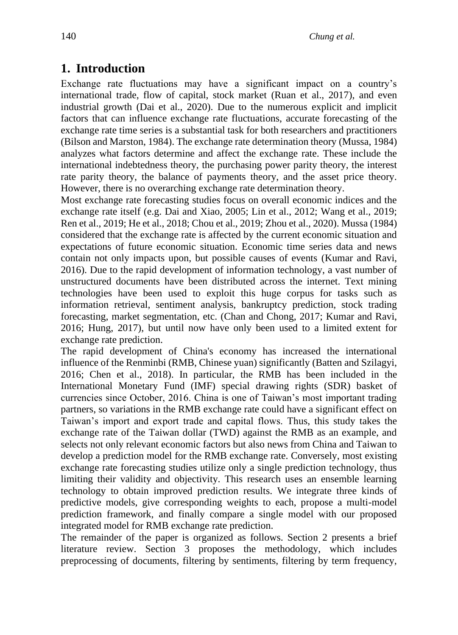### **1. Introduction**

Exchange rate fluctuations may have a significant impact on a country's international trade, flow of capital, stock market (Ruan et al., 2017), and even industrial growth (Dai et al., 2020). Due to the numerous explicit and implicit factors that can influence exchange rate fluctuations, accurate forecasting of the exchange rate time series is a substantial task for both researchers and practitioners (Bilson and Marston, 1984). The exchange rate determination theory (Mussa, 1984) analyzes what factors determine and affect the exchange rate. These include the international indebtedness theory, the purchasing power parity theory, the interest rate parity theory, the balance of payments theory, and the asset price theory. However, there is no overarching exchange rate determination theory.

Most exchange rate forecasting studies focus on overall economic indices and the exchange rate itself (e.g. Dai and Xiao, 2005; Lin et al., 2012; Wang et al., 2019; Ren et al., 2019; He et al., 2018; Chou et al., 2019; Zhou et al., 2020). Mussa (1984) considered that the exchange rate is affected by the current economic situation and expectations of future economic situation. Economic time series data and news contain not only impacts upon, but possible causes of events (Kumar and Ravi, 2016). Due to the rapid development of information technology, a vast number of unstructured documents have been distributed across the internet. Text mining technologies have been used to exploit this huge corpus for tasks such as information retrieval, sentiment analysis, bankruptcy prediction, stock trading forecasting, market segmentation, etc. (Chan and Chong, 2017; Kumar and Ravi, 2016; Hung, 2017), but until now have only been used to a limited extent for exchange rate prediction.

The rapid development of China's economy has increased the international influence of the Renminbi (RMB, Chinese yuan) significantly (Batten and Szilagyi, 2016; Chen et al., 2018). In particular, the RMB has been included in the International Monetary Fund (IMF) special drawing rights (SDR) basket of currencies since October, 2016. China is one of Taiwan's most important trading partners, so variations in the RMB exchange rate could have a significant effect on Taiwan's import and export trade and capital flows. Thus, this study takes the exchange rate of the Taiwan dollar (TWD) against the RMB as an example, and selects not only relevant economic factors but also news from China and Taiwan to develop a prediction model for the RMB exchange rate. Conversely, most existing exchange rate forecasting studies utilize only a single prediction technology, thus limiting their validity and objectivity. This research uses an ensemble learning technology to obtain improved prediction results. We integrate three kinds of predictive models, give corresponding weights to each, propose a multi-model prediction framework, and finally compare a single model with our proposed integrated model for RMB exchange rate prediction.

The remainder of the paper is organized as follows. Section 2 presents a brief literature review. Section 3 proposes the methodology, which includes preprocessing of documents, filtering by sentiments, filtering by term frequency,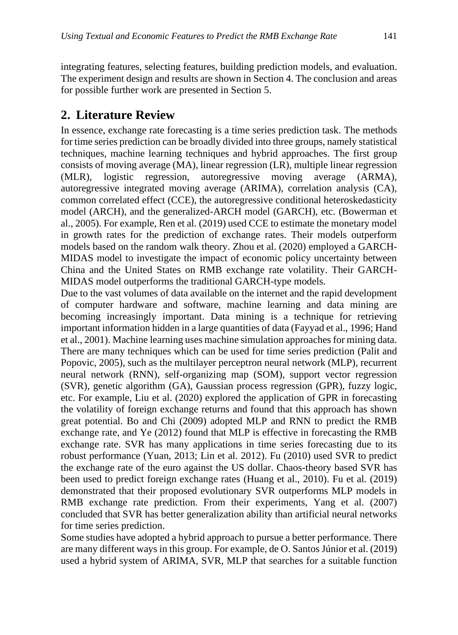integrating features, selecting features, building prediction models, and evaluation. The experiment design and results are shown in Section 4. The conclusion and areas for possible further work are presented in Section 5.

### **2. Literature Review**

In essence, exchange rate forecasting is a time series prediction task. The methods for time series prediction can be broadly divided into three groups, namely statistical techniques, machine learning techniques and hybrid approaches. The first group consists of moving average (MA), linear regression (LR), multiple linear regression (MLR), logistic regression, autoregressive moving average (ARMA), autoregressive integrated moving average (ARIMA), correlation analysis (CA), common correlated effect (CCE), the autoregressive conditional heteroskedasticity model (ARCH), and the generalized-ARCH model (GARCH), etc. (Bowerman et al., 2005). For example, Ren et al. (2019) used CCE to estimate the monetary model in growth rates for the prediction of exchange rates. Their models outperform models based on the random walk theory. Zhou et al. (2020) employed a GARCH-MIDAS model to investigate the impact of economic policy uncertainty between China and the United States on RMB exchange rate volatility. Their GARCH-MIDAS model outperforms the traditional GARCH-type models.

Due to the vast volumes of data available on the internet and the rapid development of computer hardware and software, machine learning and data mining are becoming increasingly important. Data mining is a technique for retrieving important information hidden in a large quantities of data (Fayyad et al., 1996; Hand et al., 2001). Machine learning uses machine simulation approaches for mining data. There are many techniques which can be used for time series prediction (Palit and Popovic, 2005), such as the multilayer perceptron neural network (MLP), recurrent neural network (RNN), self-organizing map (SOM), support vector regression (SVR), genetic algorithm (GA), Gaussian process regression (GPR), fuzzy logic, etc. For example, Liu et al. (2020) explored the application of GPR in forecasting the volatility of foreign exchange returns and found that this approach has shown great potential. Bo and Chi (2009) adopted MLP and RNN to predict the RMB exchange rate, and Ye (2012) found that MLP is effective in forecasting the RMB exchange rate. SVR has many applications in time series forecasting due to its robust performance (Yuan, 2013; Lin et al. 2012). Fu (2010) used SVR to predict the exchange rate of the euro against the US dollar. Chaos-theory based SVR has been used to predict foreign exchange rates (Huang et al., 2010). Fu et al. (2019) demonstrated that their proposed evolutionary SVR outperforms MLP models in RMB exchange rate prediction. From their experiments, Yang et al. (2007) concluded that SVR has better generalization ability than artificial neural networks for time series prediction.

Some studies have adopted a hybrid approach to pursue a better performance. There are many different ways in this group. For example, de O. Santos Júnior et al. (2019) used a hybrid system of ARIMA, SVR, MLP that searches for a suitable function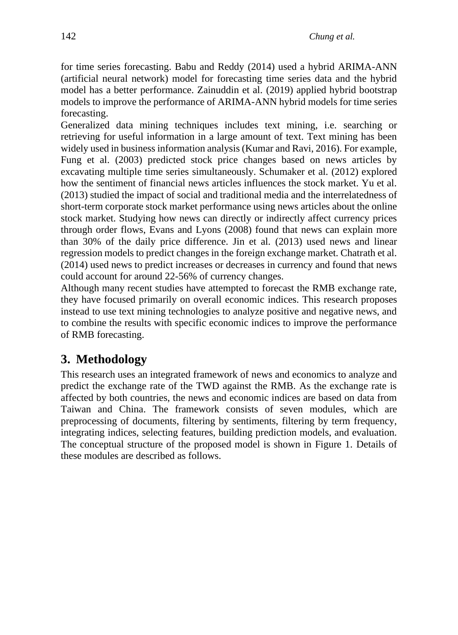for time series forecasting. Babu and Reddy (2014) used a hybrid ARIMA-ANN (artificial neural network) model for forecasting time series data and the hybrid model has a better performance. Zainuddin et al. (2019) applied hybrid bootstrap models to improve the performance of ARIMA-ANN hybrid models for time series forecasting.

Generalized data mining techniques includes text mining, i.e. searching or retrieving for useful information in a large amount of text. Text mining has been widely used in business information analysis (Kumar and Ravi, 2016). For example, Fung et al. (2003) predicted stock price changes based on news articles by excavating multiple time series simultaneously. Schumaker et al. (2012) explored how the sentiment of financial news articles influences the stock market. Yu et al. (2013) studied the impact of social and traditional media and the interrelatedness of short-term corporate stock market performance using news articles about the online stock market. Studying how news can directly or indirectly affect currency prices through order flows, Evans and Lyons (2008) found that news can explain more than 30% of the daily price difference. Jin et al. (2013) used news and linear regression models to predict changes in the foreign exchange market. Chatrath et al. (2014) used news to predict increases or decreases in currency and found that news could account for around 22-56% of currency changes.

Although many recent studies have attempted to forecast the RMB exchange rate, they have focused primarily on overall economic indices. This research proposes instead to use text mining technologies to analyze positive and negative news, and to combine the results with specific economic indices to improve the performance of RMB forecasting.

## **3. Methodology**

This research uses an integrated framework of news and economics to analyze and predict the exchange rate of the TWD against the RMB. As the exchange rate is affected by both countries, the news and economic indices are based on data from Taiwan and China. The framework consists of seven modules, which are preprocessing of documents, filtering by sentiments, filtering by term frequency, integrating indices, selecting features, building prediction models, and evaluation. The conceptual structure of the proposed model is shown in Figure 1. Details of these modules are described as follows.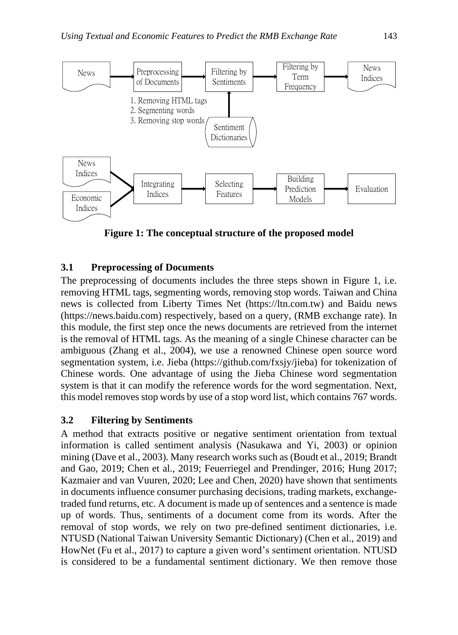

**Figure 1: The conceptual structure of the proposed model**

#### **3.1 Preprocessing of Documents**

The preprocessing of documents includes the three steps shown in Figure 1, i.e. removing HTML tags, segmenting words, removing stop words. Taiwan and China news is collected from Liberty Times Net (https://ltn.com.tw) and Baidu news (https://news.baidu.com) respectively, based on a query, (RMB exchange rate). In this module, the first step once the news documents are retrieved from the internet is the removal of HTML tags. As the meaning of a single Chinese character can be ambiguous (Zhang et al., 2004), we use a renowned Chinese open source word segmentation system, i.e. Jieba (https://github.com/fxsjy/jieba) for tokenization of Chinese words. One advantage of using the Jieba Chinese word segmentation system is that it can modify the reference words for the word segmentation. Next, this model removes stop words by use of a stop word list, which contains 767 words.

#### **3.2 Filtering by Sentiments**

A method that extracts positive or negative sentiment orientation from textual information is called sentiment analysis (Nasukawa and Yi, 2003) or opinion mining (Dave et al., 2003). Many research works such as (Boudt et al., 2019; Brandt and Gao, 2019; Chen et al., 2019; Feuerriegel and Prendinger, 2016; Hung 2017; Kazmaier and van Vuuren, 2020; Lee and Chen, 2020) have shown that sentiments in documents influence consumer purchasing decisions, trading markets, exchangetraded fund returns, etc. A document is made up of sentences and a sentence is made up of words. Thus, sentiments of a document come from its words. After the removal of stop words, we rely on two pre-defined sentiment dictionaries, i.e. NTUSD (National Taiwan University Semantic Dictionary) (Chen et al., 2019) and HowNet (Fu et al., 2017) to capture a given word's sentiment orientation. NTUSD is considered to be a fundamental sentiment dictionary. We then remove those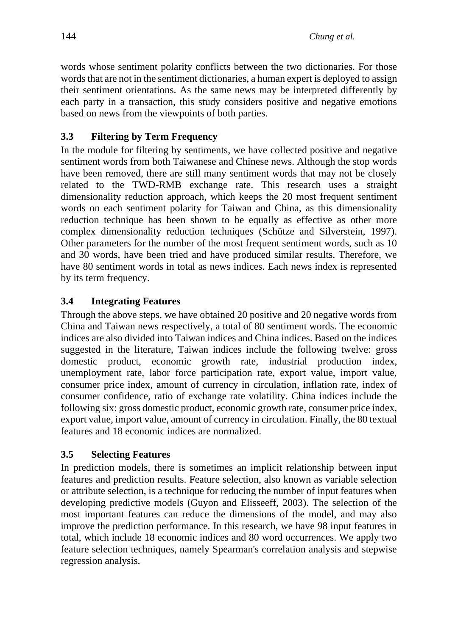words whose sentiment polarity conflicts between the two dictionaries. For those words that are not in the sentiment dictionaries, a human expert is deployed to assign their sentiment orientations. As the same news may be interpreted differently by each party in a transaction, this study considers positive and negative emotions based on news from the viewpoints of both parties.

### **3.3 Filtering by Term Frequency**

In the module for filtering by sentiments, we have collected positive and negative sentiment words from both Taiwanese and Chinese news. Although the stop words have been removed, there are still many sentiment words that may not be closely related to the TWD-RMB exchange rate. This research uses a straight dimensionality reduction approach, which keeps the 20 most frequent sentiment words on each sentiment polarity for Taiwan and China, as this dimensionality reduction technique has been shown to be equally as effective as other more complex dimensionality reduction techniques (Schütze and Silverstein, 1997). Other parameters for the number of the most frequent sentiment words, such as 10 and 30 words, have been tried and have produced similar results. Therefore, we have 80 sentiment words in total as news indices. Each news index is represented by its term frequency.

### **3.4 Integrating Features**

Through the above steps, we have obtained 20 positive and 20 negative words from China and Taiwan news respectively, a total of 80 sentiment words. The economic indices are also divided into Taiwan indices and China indices. Based on the indices suggested in the literature, Taiwan indices include the following twelve: gross domestic product, economic growth rate, industrial production index, unemployment rate, labor force participation rate, export value, import value, consumer price index, amount of currency in circulation, inflation rate, index of consumer confidence, ratio of exchange rate volatility. China indices include the following six: gross domestic product, economic growth rate, consumer price index, export value, import value, amount of currency in circulation. Finally, the 80 textual features and 18 economic indices are normalized.

### **3.5 Selecting Features**

In prediction models, there is sometimes an implicit relationship between input features and prediction results. Feature selection, also known as variable selection or attribute selection, is a technique for reducing the number of input features when developing predictive models (Guyon and Elisseeff, 2003). The selection of the most important features can reduce the dimensions of the model, and may also improve the prediction performance. In this research, we have 98 input features in total, which include 18 economic indices and 80 word occurrences. We apply two feature selection techniques, namely Spearman's correlation analysis and stepwise regression analysis.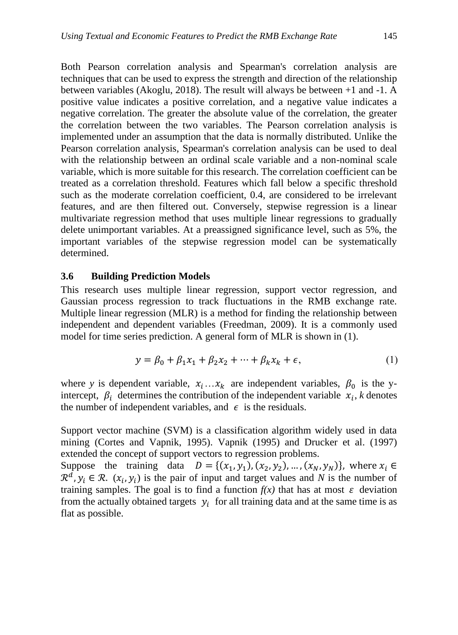Both Pearson correlation analysis and Spearman's correlation analysis are techniques that can be used to express the strength and direction of the relationship between variables (Akoglu, 2018). The result will always be between +1 and -1. A positive value indicates a positive correlation, and a negative value indicates a negative correlation. The greater the absolute value of the correlation, the greater the correlation between the two variables. The Pearson correlation analysis is implemented under an assumption that the data is normally distributed. Unlike the Pearson correlation analysis, Spearman's correlation analysis can be used to deal with the relationship between an ordinal scale variable and a non-nominal scale variable, which is more suitable for this research. The correlation coefficient can be treated as a correlation threshold. Features which fall below a specific threshold such as the moderate correlation coefficient, 0.4, are considered to be irrelevant features, and are then filtered out. Conversely, stepwise regression is a linear multivariate regression method that uses multiple linear regressions to gradually delete unimportant variables. At a preassigned significance level, such as 5%, the important variables of the stepwise regression model can be systematically determined.

#### **3.6 Building Prediction Models**

This research uses multiple linear regression, support vector regression, and Gaussian process regression to track fluctuations in the RMB exchange rate. Multiple linear regression (MLR) is a method for finding the relationship between independent and dependent variables (Freedman, 2009). It is a commonly used model for time series prediction. A general form of MLR is shown in (1).

$$
y = \beta_0 + \beta_1 x_1 + \beta_2 x_2 + \dots + \beta_k x_k + \epsilon,\tag{1}
$$

where *y* is dependent variable,  $x_i \dots x_k$  are independent variables,  $\beta_0$  is the yintercept,  $\beta_i$  determines the contribution of the independent variable  $x_i$ , *k* denotes the number of independent variables, and  $\epsilon$  is the residuals.

Support vector machine (SVM) is a classification algorithm widely used in data mining (Cortes and Vapnik, 1995). Vapnik (1995) and Drucker et al. (1997) extended the concept of support vectors to regression problems.

Suppose the training data  $D = \{ (x_1, y_1), (x_2, y_2), ..., (x_N, y_N) \}$ , where  $x_i \in$  $\mathcal{R}^d$ ,  $y_i \in \mathcal{R}$ .  $(x_i, y_i)$  is the pair of input and target values and *N* is the number of training samples. The goal is to find a function  $f(x)$  that has at most  $\varepsilon$  deviation from the actually obtained targets  $y_i$  for all training data and at the same time is as flat as possible.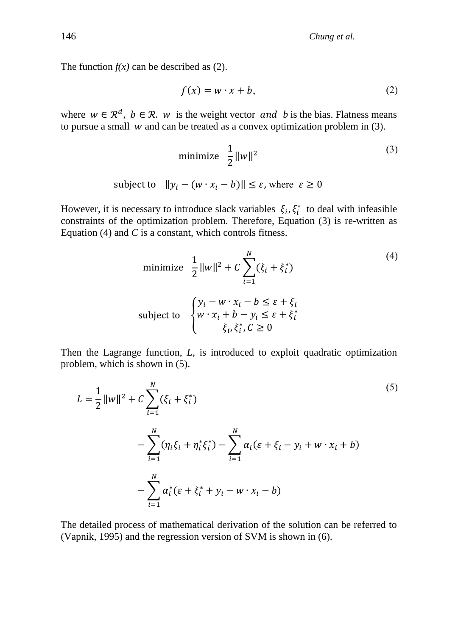The function  $f(x)$  can be described as (2).

$$
f(x) = w \cdot x + b,\tag{2}
$$

where  $w \in \mathbb{R}^d$ ,  $b \in \mathbb{R}$ . *w* is the weight vector *and b* is the bias. Flatness means to pursue a small  $w$  and can be treated as a convex optimization problem in  $(3)$ .

$$
\text{minimize} \quad \frac{1}{2} \|w\|^2 \tag{3}
$$

subject to 
$$
||y_i - (w \cdot x_i - b)|| \le \varepsilon
$$
, where  $\varepsilon \ge 0$ 

However, it is necessary to introduce slack variables  $\xi_i, \xi_i^*$  to deal with infeasible constraints of the optimization problem. Therefore, Equation (3) is re-written as Equation (4) and *C* is a constant, which controls fitness.

minimize 
$$
\frac{1}{2} ||w||^2 + C \sum_{i=1}^{N} (\xi_i + \xi_i^*)
$$
  
\nsubject to 
$$
\begin{cases} y_i - w \cdot x_i - b \le \varepsilon + \xi_i \\ w \cdot x_i + b - y_i \le \varepsilon + \xi_i^* \\ \xi_i, \xi_i^*, C \ge 0 \end{cases}
$$
 (4)

Then the Lagrange function, *L*, is introduced to exploit quadratic optimization problem, which is shown in (5).

$$
L = \frac{1}{2} ||w||^2 + C \sum_{i=1}^{N} (\xi_i + \xi_i^*)
$$
  
- 
$$
\sum_{i=1}^{N} (\eta_i \xi_i + \eta_i^* \xi_i^*) - \sum_{i=1}^{N} \alpha_i (\varepsilon + \xi_i - y_i + w \cdot x_i + b)
$$
  
- 
$$
\sum_{i=1}^{N} \alpha_i^* (\varepsilon + \xi_i^* + y_i - w \cdot x_i - b)
$$
 (5)

The detailed process of mathematical derivation of the solution can be referred to (Vapnik, 1995) and the regression version of SVM is shown in (6).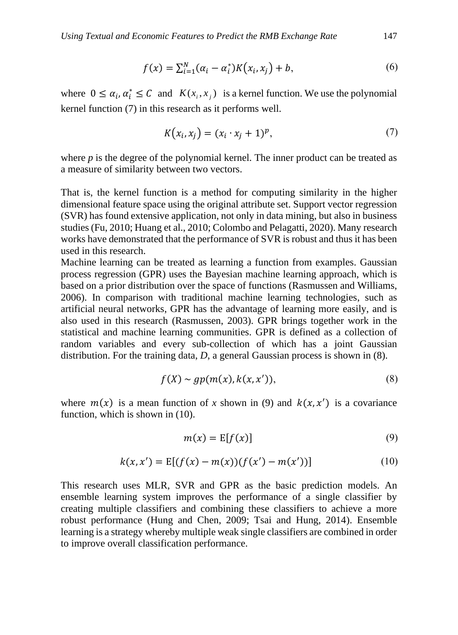$$
f(x) = \sum_{i=1}^{N} (\alpha_i - \alpha_i^*) K(x_i, x_j) + b,
$$
 (6)

where  $0 \le \alpha_i, \alpha_i^* \le C$  and  $K(x_i, x_j)$  is a kernel function. We use the polynomial kernel function (7) in this research as it performs well.

$$
K(x_i, x_j) = (x_i \cdot x_j + 1)^p, \tag{7}
$$

where *p* is the degree of the polynomial kernel. The inner product can be treated as a measure of similarity between two vectors.

That is, the kernel function is a method for computing similarity in the higher dimensional feature space using the original attribute set. Support vector regression (SVR) has found extensive application, not only in data mining, but also in business studies (Fu, 2010; Huang et al., 2010; Colombo and Pelagatti, 2020). Many research works have demonstrated that the performance of SVR is robust and thus it has been used in this research.

Machine learning can be treated as learning a function from examples. Gaussian process regression (GPR) uses the Bayesian machine learning approach, which is based on a prior distribution over the space of functions (Rasmussen and Williams, 2006). In comparison with traditional machine learning technologies, such as artificial neural networks, GPR has the advantage of learning more easily, and is also used in this research (Rasmussen, 2003). GPR brings together work in the statistical and machine learning communities. GPR is defined as a collection of random variables and every sub-collection of which has a joint Gaussian distribution. For the training data, *D*, a general Gaussian process is shown in (8).

$$
f(X) \sim gp(m(x), k(x, x')), \qquad (8)
$$

where  $m(x)$  is a mean function of *x* shown in (9) and  $k(x, x')$  is a covariance function, which is shown in (10).

$$
m(x) = \mathbb{E}[f(x)]\tag{9}
$$

$$
k(x, x') = E[(f(x) - m(x))(f(x') - m(x'))]
$$
 (10)

This research uses MLR, SVR and GPR as the basic prediction models. An ensemble learning system improves the performance of a single classifier by creating multiple classifiers and combining these classifiers to achieve a more robust performance (Hung and Chen, 2009; Tsai and Hung, 2014). Ensemble learning is a strategy whereby multiple weak single classifiers are combined in order to improve overall classification performance.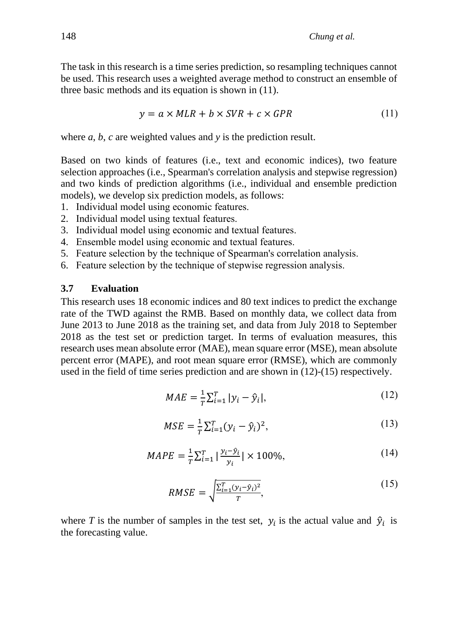The task in this research is a time series prediction, so resampling techniques cannot be used. This research uses a weighted average method to construct an ensemble of three basic methods and its equation is shown in (11).

$$
y = a \times MLR + b \times SVR + c \times GPR
$$
 (11)

where *a*, *b*, *c* are weighted values and *y* is the prediction result.

Based on two kinds of features (i.e., text and economic indices), two feature selection approaches (i.e., Spearman's correlation analysis and stepwise regression) and two kinds of prediction algorithms (i.e., individual and ensemble prediction models), we develop six prediction models, as follows:

- 1. Individual model using economic features.
- 2. Individual model using textual features.
- 3. Individual model using economic and textual features.
- 4. Ensemble model using economic and textual features.
- 5. Feature selection by the technique of Spearman's correlation analysis.
- 6. Feature selection by the technique of stepwise regression analysis.

#### **3.7 Evaluation**

This research uses 18 economic indices and 80 text indices to predict the exchange rate of the TWD against the RMB. Based on monthly data, we collect data from June 2013 to June 2018 as the training set, and data from July 2018 to September 2018 as the test set or prediction target. In terms of evaluation measures, this research uses mean absolute error (MAE), mean square error (MSE), mean absolute percent error (MAPE), and root mean square error (RMSE), which are commonly used in the field of time series prediction and are shown in (12)-(15) respectively.

$$
MAE = \frac{1}{T} \sum_{i=1}^{T} |y_i - \hat{y}_i|,
$$
\n(12)

$$
MSE = \frac{1}{T} \sum_{i=1}^{T} (y_i - \hat{y}_i)^2,
$$
\n(13)

$$
MAPE = \frac{1}{T} \sum_{i=1}^{T} \left| \frac{y_i - \hat{y}_i}{y_i} \right| \times 100\%,\tag{14}
$$

$$
RMSE = \sqrt{\frac{\sum_{i=1}^{T} (y_i - \hat{y}_i)^2}{T}},
$$
\n(15)

where *T* is the number of samples in the test set,  $y_i$  is the actual value and  $\hat{y}_i$  is the forecasting value.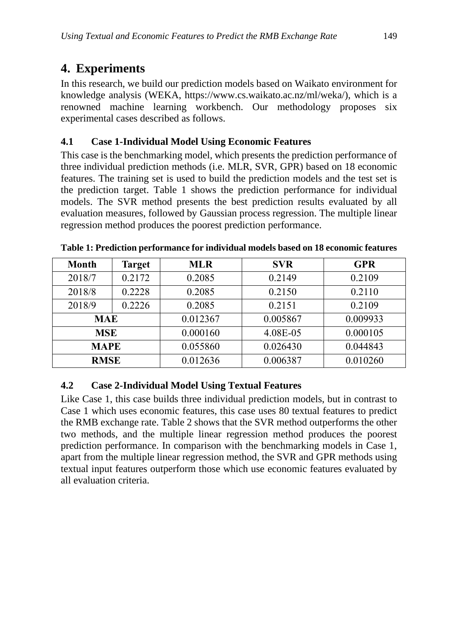## **4. Experiments**

In this research, we build our prediction models based on Waikato environment for knowledge analysis (WEKA, https://www.cs.waikato.ac.nz/ml/weka/), which is a renowned machine learning workbench. Our methodology proposes six experimental cases described as follows.

#### **4.1 Case 1-Individual Model Using Economic Features**

This case is the benchmarking model, which presents the prediction performance of three individual prediction methods (i.e. MLR, SVR, GPR) based on 18 economic features. The training set is used to build the prediction models and the test set is the prediction target. Table 1 shows the prediction performance for individual models. The SVR method presents the best prediction results evaluated by all evaluation measures, followed by Gaussian process regression. The multiple linear regression method produces the poorest prediction performance.

| <b>Month</b> | <b>Target</b> | <b>MLR</b> | <b>SVR</b> | <b>GPR</b> |
|--------------|---------------|------------|------------|------------|
| 2018/7       | 0.2172        | 0.2085     | 0.2149     | 0.2109     |
| 2018/8       | 0.2228        | 0.2085     | 0.2150     | 0.2110     |
| 2018/9       | 0.2226        | 0.2085     | 0.2151     | 0.2109     |
| <b>MAE</b>   |               | 0.012367   | 0.005867   | 0.009933   |
| <b>MSE</b>   |               | 0.000160   | 4.08E-05   | 0.000105   |
| <b>MAPE</b>  |               | 0.055860   | 0.026430   | 0.044843   |
| <b>RMSE</b>  |               | 0.012636   | 0.006387   | 0.010260   |

**Table 1: Prediction performance for individual models based on 18 economic features**

### **4.2 Case 2-Individual Model Using Textual Features**

Like Case 1, this case builds three individual prediction models, but in contrast to Case 1 which uses economic features, this case uses 80 textual features to predict the RMB exchange rate. Table 2 shows that the SVR method outperforms the other two methods, and the multiple linear regression method produces the poorest prediction performance. In comparison with the benchmarking models in Case 1, apart from the multiple linear regression method, the SVR and GPR methods using textual input features outperform those which use economic features evaluated by all evaluation criteria.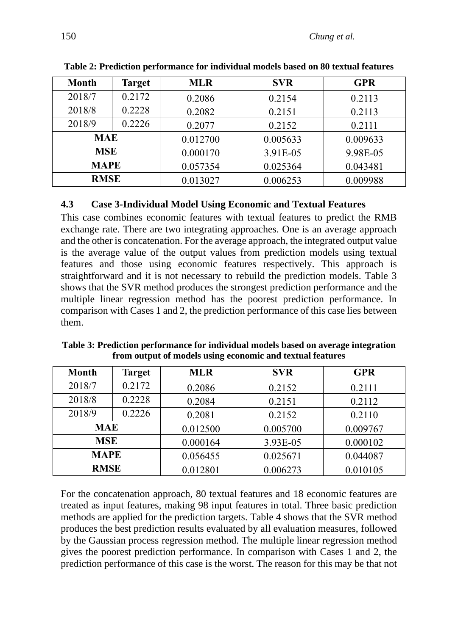| <b>Month</b> | <b>Target</b> | <b>MLR</b> | <b>SVR</b> | <b>GPR</b> |
|--------------|---------------|------------|------------|------------|
| 2018/7       | 0.2172        | 0.2086     | 0.2154     | 0.2113     |
| 2018/8       | 0.2228        | 0.2082     | 0.2151     | 0.2113     |
| 2018/9       | 0.2226        | 0.2077     | 0.2152     | 0.2111     |
| <b>MAE</b>   |               | 0.012700   | 0.005633   | 0.009633   |
| <b>MSE</b>   |               | 0.000170   | 3.91E-05   | 9.98E-05   |
| <b>MAPE</b>  |               | 0.057354   | 0.025364   | 0.043481   |
| <b>RMSE</b>  |               | 0.013027   | 0.006253   | 0.009988   |

**Table 2: Prediction performance for individual models based on 80 textual features**

#### **4.3 Case 3-Individual Model Using Economic and Textual Features**

This case combines economic features with textual features to predict the RMB exchange rate. There are two integrating approaches. One is an average approach and the other is concatenation. For the average approach, the integrated output value is the average value of the output values from prediction models using textual features and those using economic features respectively. This approach is straightforward and it is not necessary to rebuild the prediction models. Table 3 shows that the SVR method produces the strongest prediction performance and the multiple linear regression method has the poorest prediction performance. In comparison with Cases 1 and 2, the prediction performance of this case lies between them.

**Table 3: Prediction performance for individual models based on average integration from output of models using economic and textual features**

| <b>Month</b> | <b>Target</b> | <b>MLR</b> | <b>SVR</b> | <b>GPR</b> |
|--------------|---------------|------------|------------|------------|
| 2018/7       | 0.2172        | 0.2086     | 0.2152     | 0.2111     |
| 2018/8       | 0.2228        | 0.2084     | 0.2151     | 0.2112     |
| 2018/9       | 0.2226        | 0.2081     | 0.2152     | 0.2110     |
| <b>MAE</b>   |               | 0.012500   | 0.005700   | 0.009767   |
| <b>MSE</b>   |               | 0.000164   | 3.93E-05   | 0.000102   |
| <b>MAPE</b>  |               | 0.056455   | 0.025671   | 0.044087   |
| <b>RMSE</b>  |               | 0.012801   | 0.006273   | 0.010105   |

For the concatenation approach, 80 textual features and 18 economic features are treated as input features, making 98 input features in total. Three basic prediction methods are applied for the prediction targets. Table 4 shows that the SVR method produces the best prediction results evaluated by all evaluation measures, followed by the Gaussian process regression method. The multiple linear regression method gives the poorest prediction performance. In comparison with Cases 1 and 2, the prediction performance of this case is the worst. The reason for this may be that not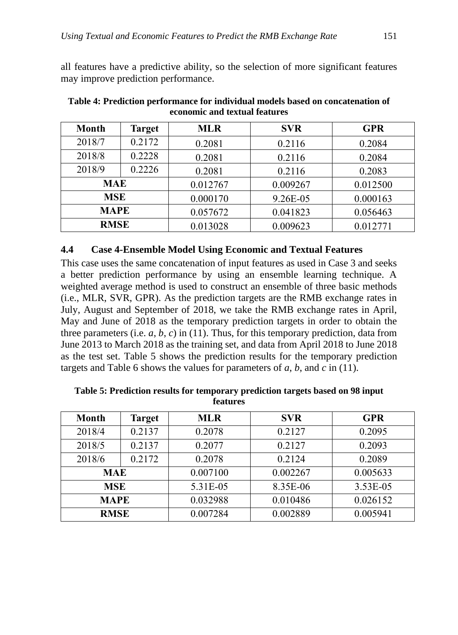all features have a predictive ability, so the selection of more significant features may improve prediction performance.

| <b>Month</b> | <b>Target</b> | <b>MLR</b> | <b>SVR</b> | <b>GPR</b> |
|--------------|---------------|------------|------------|------------|
| 2018/7       | 0.2172        | 0.2081     | 0.2116     | 0.2084     |
| 2018/8       | 0.2228        | 0.2081     | 0.2116     | 0.2084     |
| 2018/9       | 0.2226        | 0.2081     | 0.2116     | 0.2083     |
| <b>MAE</b>   |               | 0.012767   | 0.009267   | 0.012500   |
| <b>MSE</b>   |               | 0.000170   | 9.26E-05   | 0.000163   |
| <b>MAPE</b>  |               | 0.057672   | 0.041823   | 0.056463   |
| <b>RMSE</b>  |               | 0.013028   | 0.009623   | 0.012771   |

**Table 4: Prediction performance for individual models based on concatenation of economic and textual features**

#### **4.4 Case 4-Ensemble Model Using Economic and Textual Features**

This case uses the same concatenation of input features as used in Case 3 and seeks a better prediction performance by using an ensemble learning technique. A weighted average method is used to construct an ensemble of three basic methods (i.e., MLR, SVR, GPR). As the prediction targets are the RMB exchange rates in July, August and September of 2018, we take the RMB exchange rates in April, May and June of 2018 as the temporary prediction targets in order to obtain the three parameters (i.e.  $a, b, c$ ) in (11). Thus, for this temporary prediction, data from June 2013 to March 2018 as the training set, and data from April 2018 to June 2018 as the test set. Table 5 shows the prediction results for the temporary prediction targets and Table 6 shows the values for parameters of *a*, *b*, and *c* in (11).

| <b>Month</b> | <b>Target</b> | <b>MLR</b> | <b>SVR</b> | <b>GPR</b> |
|--------------|---------------|------------|------------|------------|
| 2018/4       | 0.2137        | 0.2078     | 0.2127     | 0.2095     |
| 2018/5       | 0.2137        | 0.2077     | 0.2127     | 0.2093     |
| 2018/6       | 0.2172        | 0.2078     | 0.2124     | 0.2089     |
| <b>MAE</b>   |               | 0.007100   | 0.002267   | 0.005633   |
| <b>MSE</b>   |               | 5.31E-05   | 8.35E-06   | 3.53E-05   |
| <b>MAPE</b>  |               | 0.032988   | 0.010486   | 0.026152   |
| <b>RMSE</b>  |               | 0.007284   | 0.002889   | 0.005941   |

**Table 5: Prediction results for temporary prediction targets based on 98 input features**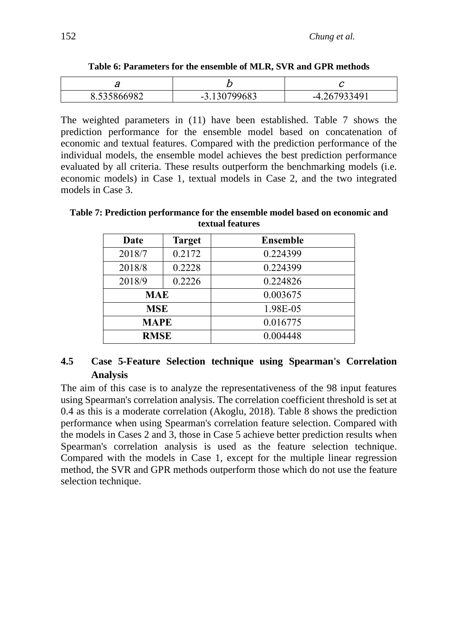| ີ           | ~                        |               |
|-------------|--------------------------|---------------|
| 8.535866982 | 0700602<br>იგ.<br>$-2$ . | 13491<br>$-4$ |

**Table 6: Parameters for the ensemble of MLR, SVR and GPR methods**

The weighted parameters in (11) have been established. Table 7 shows the prediction performance for the ensemble model based on concatenation of economic and textual features. Compared with the prediction performance of the individual models, the ensemble model achieves the best prediction performance evaluated by all criteria. These results outperform the benchmarking models (i.e. economic models) in Case 1, textual models in Case 2, and the two integrated models in Case 3.

| Date        | <b>Target</b> | <b>Ensemble</b> |
|-------------|---------------|-----------------|
| 2018/7      | 0.2172        | 0.224399        |
| 2018/8      | 0.2228        | 0.224399        |
| 2018/9      | 0.2226        | 0.224826        |
| MAE         |               | 0.003675        |
| <b>MSE</b>  |               | 1.98E-05        |
| <b>MAPE</b> |               | 0.016775        |
| <b>RMSE</b> |               | 0.004448        |

**Table 7: Prediction performance for the ensemble model based on economic and textual features** 

#### **4.5 Case 5-Feature Selection technique using Spearman's Correlation Analysis**

The aim of this case is to analyze the representativeness of the 98 input features using Spearman's correlation analysis. The correlation coefficient threshold is set at 0.4 as this is a moderate correlation (Akoglu, 2018). Table 8 shows the prediction performance when using Spearman's correlation feature selection. Compared with the models in Cases 2 and 3, those in Case 5 achieve better prediction results when Spearman's correlation analysis is used as the feature selection technique. Compared with the models in Case 1, except for the multiple linear regression method, the SVR and GPR methods outperform those which do not use the feature selection technique.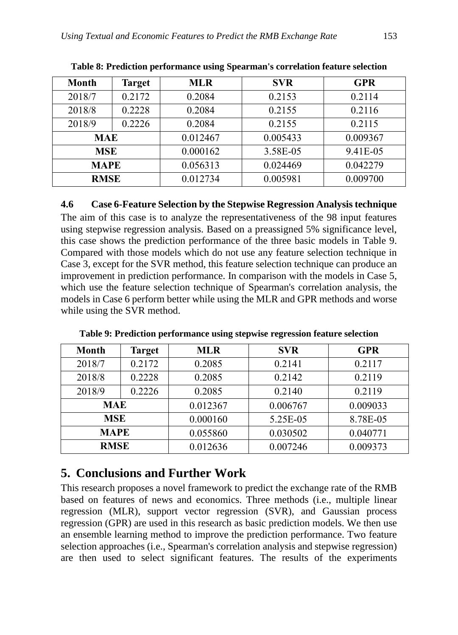| <b>Month</b> | <b>Target</b> | <b>MLR</b> | <b>SVR</b> | <b>GPR</b> |
|--------------|---------------|------------|------------|------------|
| 2018/7       | 0.2172        | 0.2084     | 0.2153     | 0.2114     |
| 2018/8       | 0.2228        | 0.2084     | 0.2155     | 0.2116     |
| 2018/9       | 0.2226        | 0.2084     | 0.2155     | 0.2115     |
| <b>MAE</b>   |               | 0.012467   | 0.005433   | 0.009367   |
| <b>MSE</b>   |               | 0.000162   | 3.58E-05   | 9.41E-05   |
| <b>MAPE</b>  |               | 0.056313   | 0.024469   | 0.042279   |
| <b>RMSE</b>  |               | 0.012734   | 0.005981   | 0.009700   |

**Table 8: Prediction performance using Spearman's correlation feature selection**

#### **4.6 Case 6-Feature Selection by the Stepwise Regression Analysis technique**

The aim of this case is to analyze the representativeness of the 98 input features using stepwise regression analysis. Based on a preassigned 5% significance level, this case shows the prediction performance of the three basic models in Table 9. Compared with those models which do not use any feature selection technique in Case 3, except for the SVR method, this feature selection technique can produce an improvement in prediction performance. In comparison with the models in Case 5, which use the feature selection technique of Spearman's correlation analysis, the models in Case 6 perform better while using the MLR and GPR methods and worse while using the SVR method.

| <b>Month</b> | <b>Target</b> | <b>MLR</b> | <b>SVR</b> | <b>GPR</b> |
|--------------|---------------|------------|------------|------------|
| 2018/7       | 0.2172        | 0.2085     | 0.2141     | 0.2117     |
| 2018/8       | 0.2228        | 0.2085     | 0.2142     | 0.2119     |
| 2018/9       | 0.2226        | 0.2085     | 0.2140     | 0.2119     |
| <b>MAE</b>   |               | 0.012367   | 0.006767   | 0.009033   |
| <b>MSE</b>   |               | 0.000160   | 5.25E-05   | 8.78E-05   |
| <b>MAPE</b>  |               | 0.055860   | 0.030502   | 0.040771   |
| <b>RMSE</b>  |               | 0.012636   | 0.007246   | 0.009373   |

**Table 9: Prediction performance using stepwise regression feature selection**

## **5. Conclusions and Further Work**

This research proposes a novel framework to predict the exchange rate of the RMB based on features of news and economics. Three methods (i.e., multiple linear regression (MLR), support vector regression (SVR), and Gaussian process regression (GPR) are used in this research as basic prediction models. We then use an ensemble learning method to improve the prediction performance. Two feature selection approaches (i.e., Spearman's correlation analysis and stepwise regression) are then used to select significant features. The results of the experiments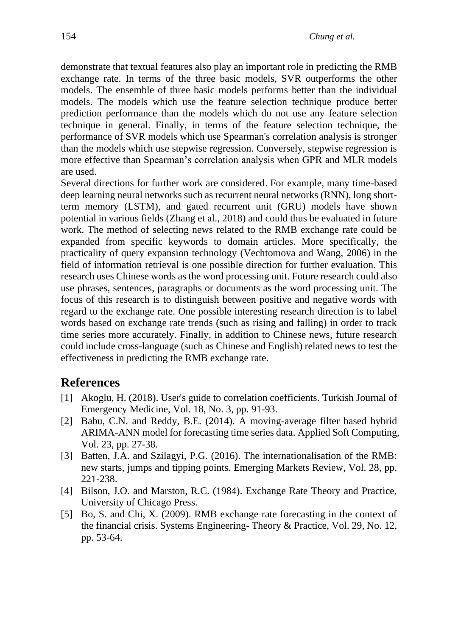demonstrate that textual features also play an important role in predicting the RMB exchange rate. In terms of the three basic models, SVR outperforms the other models. The ensemble of three basic models performs better than the individual models. The models which use the feature selection technique produce better prediction performance than the models which do not use any feature selection technique in general. Finally, in terms of the feature selection technique, the performance of SVR models which use Spearman's correlation analysis is stronger than the models which use stepwise regression. Conversely, stepwise regression is more effective than Spearman's correlation analysis when GPR and MLR models are used.

Several directions for further work are considered. For example, many time-based deep learning neural networks such as recurrent neural networks (RNN), long shortterm memory (LSTM), and gated recurrent unit (GRU) models have shown potential in various fields (Zhang et al., 2018) and could thus be evaluated in future work. The method of selecting news related to the RMB exchange rate could be expanded from specific keywords to domain articles. More specifically, the practicality of query expansion technology (Vechtomova and Wang, 2006) in the field of information retrieval is one possible direction for further evaluation. This research uses Chinese words as the word processing unit. Future research could also use phrases, sentences, paragraphs or documents as the word processing unit. The focus of this research is to distinguish between positive and negative words with regard to the exchange rate. One possible interesting research direction is to label words based on exchange rate trends (such as rising and falling) in order to track time series more accurately. Finally, in addition to Chinese news, future research could include cross-language (such as Chinese and English) related news to test the effectiveness in predicting the RMB exchange rate.

#### **References**

- [1] Akoglu, H. (2018). User's guide to correlation coefficients. Turkish Journal of Emergency Medicine, Vol. 18, No. 3, pp. 91-93.
- [2] Babu, C.N. and Reddy, B.E. (2014). A moving-average filter based hybrid ARIMA-ANN model for forecasting time series data. Applied Soft Computing, Vol. 23, pp. 27-38.
- [3] Batten, J.A. and Szilagyi, P.G. (2016). The internationalisation of the RMB: new starts, jumps and tipping points. Emerging Markets Review, Vol. 28, pp. 221-238.
- [4] Bilson, J.O. and Marston, R.C. (1984). Exchange Rate Theory and Practice, University of Chicago Press.
- [5] Bo, S. and Chi, X. (2009). RMB exchange rate forecasting in the context of the financial crisis. Systems Engineering- Theory & Practice, Vol. 29, No. 12, pp. 53-64.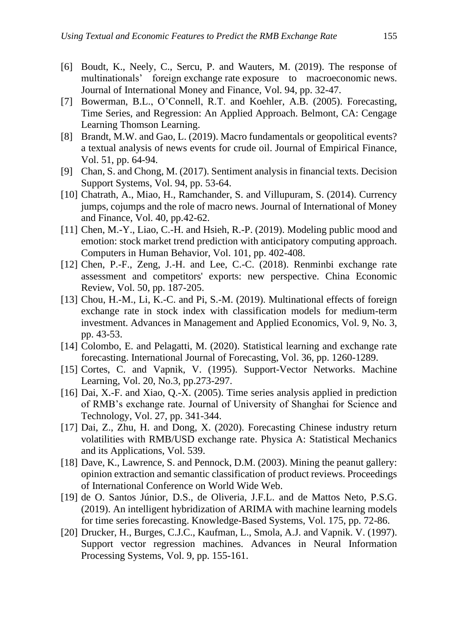- [6] Boudt, K., Neely, C., Sercu, P. and Wauters, M. (2019). The response of multinationals' foreign exchange rate exposure to macroeconomic news. Journal of International Money and Finance, Vol. 94, pp. 32-47.
- [7] Bowerman, B.L., O'Connell, R.T. and Koehler, A.B. (2005). Forecasting, Time Series, and Regression: An Applied Approach. Belmont, CA: Cengage Learning Thomson Learning.
- [8] Brandt, M.W. and Gao, L. (2019). Macro fundamentals or geopolitical events? a textual analysis of news events for crude oil. Journal of Empirical Finance, Vol. 51, pp. 64-94.
- [9] Chan, S. and Chong, M. (2017). Sentiment analysis in financial texts. Decision Support Systems, Vol. 94, pp. 53-64.
- [10] Chatrath, A., Miao, H., Ramchander, S. and Villupuram, S. (2014). Currency jumps, cojumps and the role of macro news. Journal of International of Money and Finance, Vol. 40, pp.42-62.
- [11] Chen, M.-Y., Liao, C.-H. and Hsieh, R.-P. (2019). Modeling public mood and emotion: stock market trend prediction with anticipatory computing approach. Computers in Human Behavior, Vol. 101, pp. 402-408.
- [12] Chen, P.-F., Zeng, J.-H. and Lee, C.-C. (2018). Renminbi exchange rate assessment and competitors' exports: new perspective. China Economic Review, Vol. 50, pp. 187-205.
- [13] Chou, H.-M., Li, K.-C. and Pi, S.-M. (2019). Multinational effects of foreign exchange rate in stock index with classification models for medium-term investment. Advances in Management and Applied Economics, Vol. 9, No. 3, pp. 43-53.
- [14] Colombo, E. and Pelagatti, M. (2020). Statistical learning and exchange rate forecasting. International Journal of Forecasting, Vol. 36, pp. 1260-1289.
- [15] Cortes, C. and Vapnik, V. (1995). Support-Vector Networks. Machine Learning, Vol. 20, No.3, pp.273-297.
- [16] Dai, X.-F. and Xiao, Q.-X. (2005). Time series analysis applied in prediction of RMB's exchange rate. Journal of University of Shanghai for Science and Technology, Vol. 27, pp. 341-344.
- [17] Dai, Z., Zhu, H. and Dong, X. (2020). Forecasting Chinese industry return volatilities with RMB/USD exchange rate. Physica A: Statistical Mechanics and its Applications, Vol. 539.
- [18] Dave, K., Lawrence, S. and Pennock, D.M. (2003). Mining the peanut gallery: opinion extraction and semantic classification of product reviews. Proceedings of International Conference on World Wide Web.
- [19] de O. Santos Júnior, D.S., de Oliveria, J.F.L. and de Mattos Neto, P.S.G. (2019). An intelligent hybridization of ARIMA with machine learning models for time series forecasting. Knowledge-Based Systems, Vol. 175, pp. 72-86.
- [20] Drucker, H., Burges, C.J.C., Kaufman, L., Smola, A.J. and Vapnik. V. (1997). Support vector regression machines. Advances in Neural Information Processing Systems, Vol. 9, pp. 155-161.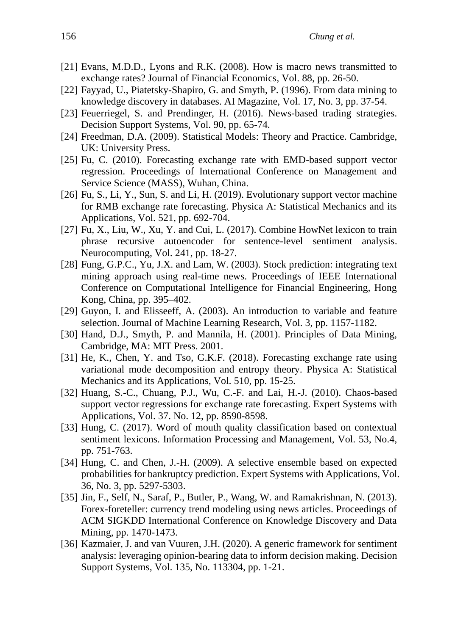- [21] Evans, M.D.D., Lyons and R.K. (2008). How is macro news transmitted to exchange rates? Journal of Financial Economics, Vol. 88, pp. 26-50.
- [22] Fayyad, U., Piatetsky-Shapiro, G. and Smyth, P. (1996). From data mining to knowledge discovery in databases. AI Magazine, Vol. 17, No. 3, pp. 37-54.
- [23] Feuerriegel, S. and Prendinger, H. (2016). News-based trading strategies. Decision Support Systems, Vol. 90, pp. 65-74.
- [24] Freedman, D.A. (2009). Statistical Models: Theory and Practice. [Cambridge,](https://en.wikipedia.org/wiki/Cambridge_University_Press)  [UK: University Press.](https://en.wikipedia.org/wiki/Cambridge_University_Press)
- [25] Fu, C. (2010). Forecasting exchange rate with EMD-based support vector regression. Proceedings of International Conference on Management and Service Science (MASS), Wuhan, China.
- [26] Fu, S., Li, Y., Sun, S. and Li, H. (2019). Evolutionary support vector machine for RMB exchange rate forecasting. Physica A: Statistical Mechanics and its Applications, Vol. 521, pp. 692-704.
- [27] Fu, X., Liu, W., Xu, Y. and Cui, L. (2017). Combine HowNet [lexicon to train](https://www.sciencedirect.com/science/article/pii/S0925231217302643)  [phrase recursive autoencoder for sentence-level sentiment analysis.](https://www.sciencedirect.com/science/article/pii/S0925231217302643) Neurocomputing, Vol. 241, pp. 18-27.
- [28] Fung, G.P.C., Yu, J.X. and Lam, W. (2003). Stock prediction: integrating text mining approach using real-time news. Proceedings of IEEE International Conference on Computational Intelligence for Financial Engineering, Hong Kong, China, pp. 395–402.
- [29] Guyon, I. and Elisseeff, A. (2003). An introduction to variable and feature selection. Journal of Machine Learning Research, Vol. 3, pp. 1157-1182.
- [30] Hand, D.J., Smyth, P. and Mannila, H. (2001). Principles of Data Mining, Cambridge, MA: MIT Press. 2001.
- [31] He, K., Chen, Y. and Tso, G.K.F. (2018). Forecasting exchange rate using variational mode decomposition and entropy theory. Physica A: Statistical Mechanics and its Applications, Vol. 510, pp. 15-25.
- [32] Huang, S.-C., Chuang, P.J., Wu, C.-F. and Lai, H.-J. (2010). Chaos-based support vector regressions for exchange rate forecasting. Expert Systems with Applications, Vol. 37. No. 12, pp. 8590-8598.
- [33] Hung, C. (2017). Word of mouth quality classification based on contextual sentiment lexicons. Information Processing and Management, Vol. 53, No.4, pp. 751-763.
- [34] Hung, C. and Chen, J.-H. (2009). A selective ensemble based on expected probabilities for bankruptcy prediction. Expert Systems with Applications, Vol. 36, No. 3, pp. 5297-5303.
- [35] Jin, F., Self, N., Saraf, P., Butler, P., Wang, W. and Ramakrishnan, N. (2013). Forex-foreteller: currency trend modeling using news articles. Proceedings of ACM SIGKDD International Conference on Knowledge Discovery and Data Mining, pp. 1470-1473.
- [36] Kazmaier, J. and van Vuuren, J.H. (2020). A generic framework for sentiment analysis: leveraging opinion-bearing data to inform decision making. Decision Support Systems, Vol. 135, No. 113304, pp. 1-21.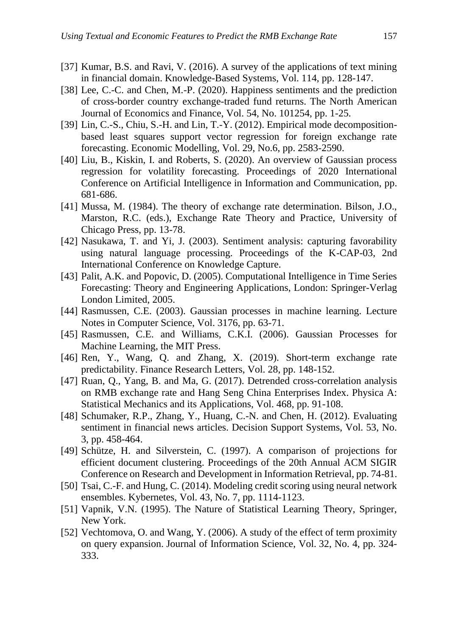- [37] Kumar, B.S. and Ravi, V. (2016). A survey of the applications of text mining in financial domain. Knowledge-Based Systems, Vol. 114, pp. 128-147.
- [38] Lee, C.-C. and Chen, M.-P. (2020). Happiness sentiments and the prediction of cross-border country exchange-traded fund returns. The North American Journal of Economics and Finance, Vol. 54, No. 101254, pp. 1-25.
- [39] Lin, C.-S., Chiu, S.-H. and Lin, T.-Y. (2012). Empirical mode decompositionbased least squares support vector regression for foreign exchange rate forecasting. Economic Modelling, Vol. 29, No.6, pp. 2583-2590.
- [40] Liu, B., Kiskin, I. and Roberts, S. (2020). An overview of Gaussian process regression for volatility forecasting. Proceedings of [2020 International](https://ieeexplore.ieee.org/xpl/conhome/9046688/proceeding)  [Conference on Artificial Intelligence in Information and Communication,](https://ieeexplore.ieee.org/xpl/conhome/9046688/proceeding) pp. 681-686.
- [41] Mussa, M. (1984). The theory of exchange rate determination. Bilson, J.O., Marston, R.C. (eds.), Exchange Rate Theory and Practice, University of Chicago Press, pp. 13-78.
- [42] Nasukawa, T. and Yi, J. (2003). Sentiment analysis: capturing favorability using natural language processing. Proceedings of the K-CAP-03, 2nd International Conference on Knowledge Capture.
- [43] Palit, A.K. and Popovic, D. (2005). Computational Intelligence in Time Series Forecasting: Theory and Engineering Applications, London: Springer-Verlag London Limited, 2005.
- [44] Rasmussen, C.E. (2003). Gaussian processes in machine learning. Lecture Notes in Computer Science, Vol. 3176, pp. 63-71.
- [45] Rasmussen, C.E. and Williams, C.K.I. (2006). Gaussian Processes for Machine Learning, the MIT Press.
- [46] Ren, Y., Wang, Q. and Zhang, X. (2019). Short-term exchange rate predictability. Finance Research Letters, Vol. 28, pp. 148-152.
- [47] Ruan, Q., Yang, B. and Ma, G. (2017). Detrended cross-correlation analysis on RMB exchange rate and Hang Seng China Enterprises Index. Physica A: Statistical Mechanics and its Applications, Vol. 468, pp. 91-108.
- [48] Schumaker, R.P., Zhang, Y., Huang, C.-N. and Chen, H. (2012). Evaluating sentiment in financial news articles. Decision Support Systems, Vol. 53, No. 3, pp. 458-464.
- [49] Schütze, H. and Silverstein, C. (1997). A comparison of projections for efficient document clustering. Proceedings of the 20th Annual ACM SIGIR Conference on Research and Development in Information Retrieval, pp. 74-81.
- [50] Tsai, C.-F. and Hung, C. (2014). Modeling credit scoring using neural network ensembles. Kybernetes, Vol. 43, No. 7, pp. 1114-1123.
- [51] Vapnik, V.N. (1995). The Nature of Statistical Learning Theory, Springer, New York.
- [52] Vechtomova, O. and Wang, Y. (2006). A study of the effect of term proximity on query expansion. [Journal of Information Science,](https://en.wikipedia.org/wiki/Journal_of_Information_Science) Vol. 32, No. 4, pp. 324- 333.